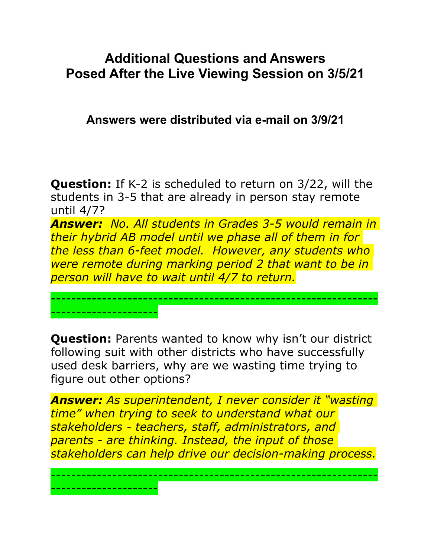## **Additional Questions and Answers Posed After the Live Viewing Session on 3/5/21**

**Answers were distributed via e-mail on 3/9/21** 

**Question:** If K-2 is scheduled to return on 3/22, will the students in 3-5 that are already in person stay remote until 4/7?

*Answer: No. All students in Grades 3-5 would remain in their hybrid AB model until we phase all of them in for the less than 6-feet model. However, any students who were remote during marking period 2 that want to be in person will have to wait until 4/7 to return.*

----------------------------------------------------------------

**Question:** Parents wanted to know why isn't our district following suit with other districts who have successfully used desk barriers, why are we wasting time trying to figure out other options?

---------------------

---------------------

*Answer: As superintendent, I never consider it "wasting time" when trying to seek to understand what our stakeholders - teachers, staff, administrators, and parents - are thinking. Instead, the input of those stakeholders can help drive our decision-making process.*

----------------------------------------------------------------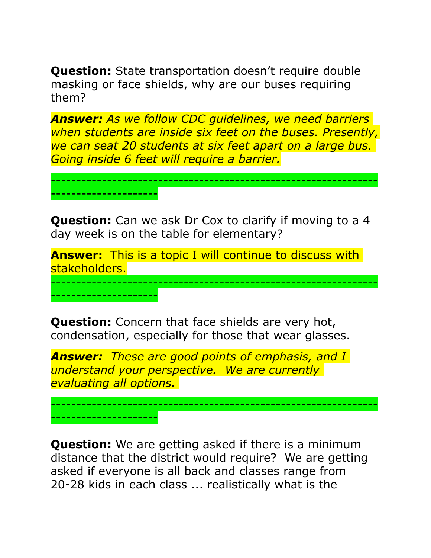**Question:** State transportation doesn't require double masking or face shields, why are our buses requiring them?

*Answer: As we follow CDC guidelines, we need barriers when students are inside six feet on the buses. Presently, we can seat 20 students at six feet apart on a large bus. Going inside 6 feet will require a barrier.*

----------------------------------------------------------------

**Question:** Can we ask Dr Cox to clarify if moving to a 4 day week is on the table for elementary?

---------------------

---------------------

---------------------

**Answer:** This is a topic I will continue to discuss with stakeholders.

----------------------------------------------------------------

**Question:** Concern that face shields are very hot, condensation, especially for those that wear glasses.

*Answer: These are good points of emphasis, and I understand your perspective. We are currently evaluating all options.* 

----------------------------------------------------------------

**Question:** We are getting asked if there is a minimum distance that the district would require? We are getting asked if everyone is all back and classes range from 20-28 kids in each class ... realistically what is the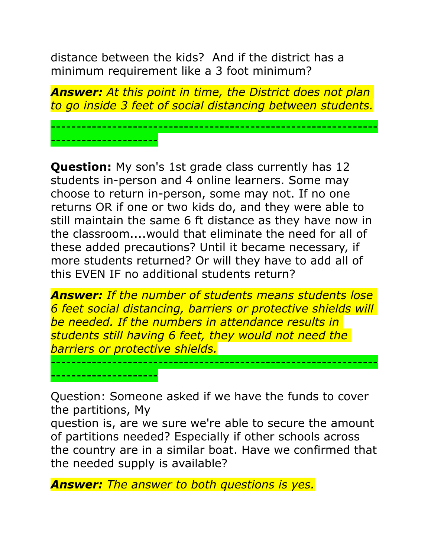distance between the kids? And if the district has a minimum requirement like a 3 foot minimum?

---------------------

---------------------

*Answer: At this point in time, the District does not plan to go inside 3 feet of social distancing between students.*

----------------------------------------------------------------

**Question:** My son's 1st grade class currently has 12 students in-person and 4 online learners. Some may choose to return in-person, some may not. If no one returns OR if one or two kids do, and they were able to still maintain the same 6 ft distance as they have now in the classroom....would that eliminate the need for all of these added precautions? Until it became necessary, if more students returned? Or will they have to add all of this EVEN IF no additional students return?

*Answer: If the number of students means students lose 6 feet social distancing, barriers or protective shields will be needed. If the numbers in attendance results in students still having 6 feet, they would not need the barriers or protective shields.*

----------------------------------------------------------------

Question: Someone asked if we have the funds to cover the partitions, My

question is, are we sure we're able to secure the amount of partitions needed? Especially if other schools across the country are in a similar boat. Have we confirmed that the needed supply is available?

*Answer: The answer to both questions is yes.*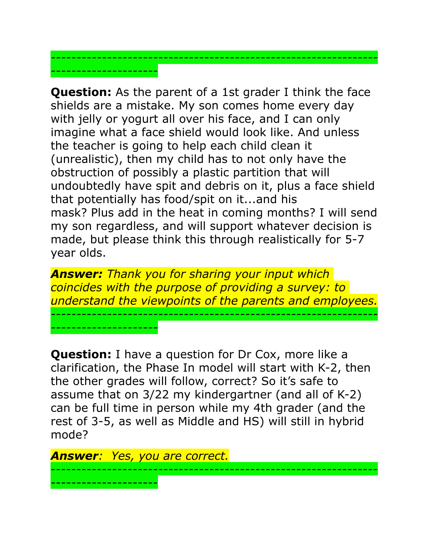**Question:** As the parent of a 1st grader I think the face shields are a mistake. My son comes home every day with jelly or yogurt all over his face, and I can only imagine what a face shield would look like. And unless the teacher is going to help each child clean it (unrealistic), then my child has to not only have the obstruction of possibly a plastic partition that will undoubtedly have spit and debris on it, plus a face shield that potentially has food/spit on it...and his mask? Plus add in the heat in coming months? I will send my son regardless, and will support whatever decision is made, but please think this through realistically for 5-7 year olds.

*----------------------------------------------------------------*

*---------------------*

*---------------------*

*Answer: Thank you for sharing your input which coincides with the purpose of providing a survey: to understand the viewpoints of the parents and employees. ----------------------------------------------------------------*

**Question:** I have a question for Dr Cox, more like a clarification, the Phase In model will start with K-2, then the other grades will follow, correct? So it's safe to assume that on 3/22 my kindergartner (and all of K-2) can be full time in person while my 4th grader (and the rest of 3-5, as well as Middle and HS) will still in hybrid mode?

*Answer: Yes, you are correct.* ---------------------------------------------------------------- ---------------------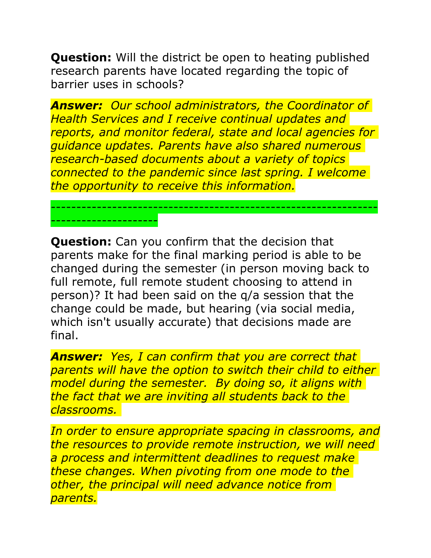**Question:** Will the district be open to heating published research parents have located regarding the topic of barrier uses in schools?

*Answer: Our school administrators, the Coordinator of Health Services and I receive continual updates and reports, and monitor federal, state and local agencies for guidance updates. Parents have also shared numerous research-based documents about a variety of topics connected to the pandemic since last spring. I welcome the opportunity to receive this information.*

----------------------------------------------------------------

---------------------

**Question:** Can you confirm that the decision that parents make for the final marking period is able to be changed during the semester (in person moving back to full remote, full remote student choosing to attend in person)? It had been said on the q/a session that the change could be made, but hearing (via social media, which isn't usually accurate) that decisions made are final.

*Answer: Yes, I can confirm that you are correct that parents will have the option to switch their child to either model during the semester. By doing so, it aligns with the fact that we are inviting all students back to the classrooms.* 

*In order to ensure appropriate spacing in classrooms, and the resources to provide remote instruction, we will need a process and intermittent deadlines to request make these changes. When pivoting from one mode to the other, the principal will need advance notice from parents.*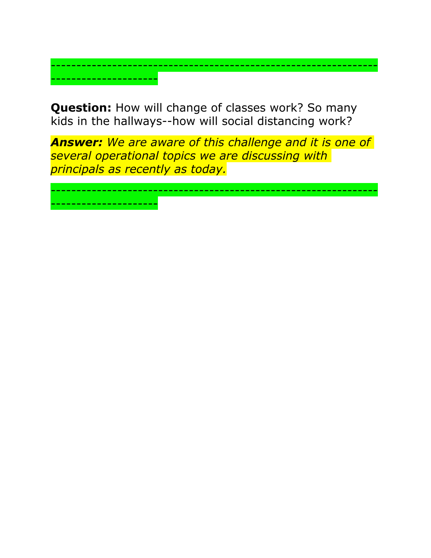**Question:** How will change of classes work? So many kids in the hallways--how will social distancing work?

---------------------

----------------------------------------------------------------

*Answer: We are aware of this challenge and it is one of several operational topics we are discussing with principals as recently as today.*

---------------------------------------------------------------- ---------------------